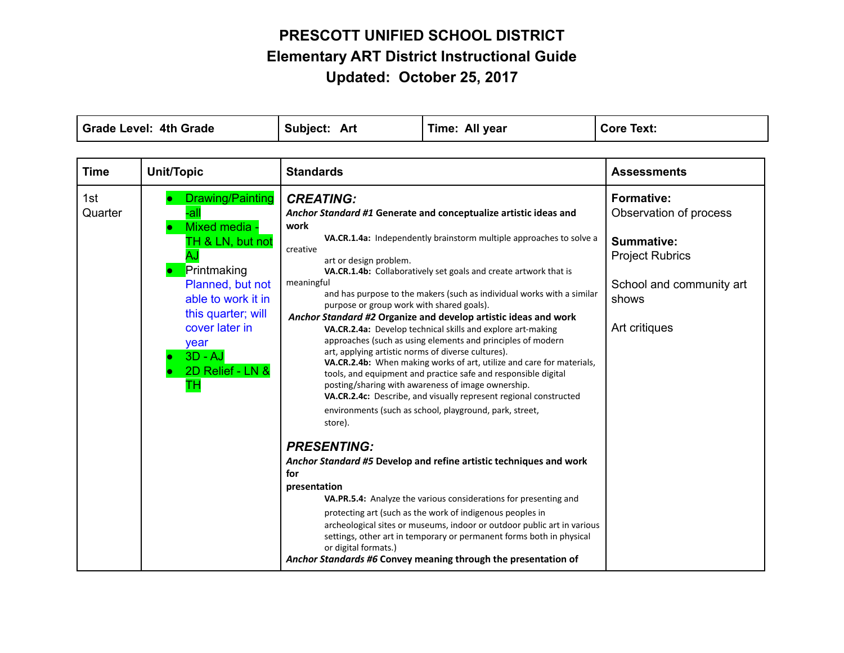| <b>Grade Level: 4th Grade</b> |                                                                                                                                                                                                                     | Subject: Art                                                                                                                                                                                                                                                    | Time: All year                                                                                                                                                                                                                                                                                                                                                                                                                                                                                                                                                                                                                                                                                                                                                                                                                                                                                                                                                                                                                                                                                                                                                                                                                                      | <b>Core Text:</b>                                                                                                                         |
|-------------------------------|---------------------------------------------------------------------------------------------------------------------------------------------------------------------------------------------------------------------|-----------------------------------------------------------------------------------------------------------------------------------------------------------------------------------------------------------------------------------------------------------------|-----------------------------------------------------------------------------------------------------------------------------------------------------------------------------------------------------------------------------------------------------------------------------------------------------------------------------------------------------------------------------------------------------------------------------------------------------------------------------------------------------------------------------------------------------------------------------------------------------------------------------------------------------------------------------------------------------------------------------------------------------------------------------------------------------------------------------------------------------------------------------------------------------------------------------------------------------------------------------------------------------------------------------------------------------------------------------------------------------------------------------------------------------------------------------------------------------------------------------------------------------|-------------------------------------------------------------------------------------------------------------------------------------------|
| <b>Time</b>                   | <b>Unit/Topic</b>                                                                                                                                                                                                   | <b>Standards</b>                                                                                                                                                                                                                                                |                                                                                                                                                                                                                                                                                                                                                                                                                                                                                                                                                                                                                                                                                                                                                                                                                                                                                                                                                                                                                                                                                                                                                                                                                                                     | <b>Assessments</b>                                                                                                                        |
| 1st<br>Quarter                | Drawing/Painting<br>-all<br>Mixed media -<br>TH & LN, but not<br>ÂJ<br>Printmaking<br>Planned, but not<br>able to work it in<br>this quarter; will<br>cover later in<br>year<br>$3D - AJ$<br>2D Relief - LN &<br>тн | <b>CREATING:</b><br>work<br>creative<br>art or design problem.<br>meaningful<br>purpose or group work with shared goals).<br>art, applying artistic norms of diverse cultures).<br>store).<br><b>PRESENTING:</b><br>for<br>presentation<br>or digital formats.) | Anchor Standard #1 Generate and conceptualize artistic ideas and<br>VA.CR.1.4a: Independently brainstorm multiple approaches to solve a<br>VA.CR.1.4b: Collaboratively set goals and create artwork that is<br>and has purpose to the makers (such as individual works with a similar<br>Anchor Standard #2 Organize and develop artistic ideas and work<br>VA.CR.2.4a: Develop technical skills and explore art-making<br>approaches (such as using elements and principles of modern<br>VA.CR.2.4b: When making works of art, utilize and care for materials,<br>tools, and equipment and practice safe and responsible digital<br>posting/sharing with awareness of image ownership.<br>VA.CR.2.4c: Describe, and visually represent regional constructed<br>environments (such as school, playground, park, street,<br>Anchor Standard #5 Develop and refine artistic techniques and work<br>VA.PR.5.4: Analyze the various considerations for presenting and<br>protecting art (such as the work of indigenous peoples in<br>archeological sites or museums, indoor or outdoor public art in various<br>settings, other art in temporary or permanent forms both in physical<br>Anchor Standards #6 Convey meaning through the presentation of | <b>Formative:</b><br>Observation of process<br>Summative:<br><b>Project Rubrics</b><br>School and community art<br>shows<br>Art critiques |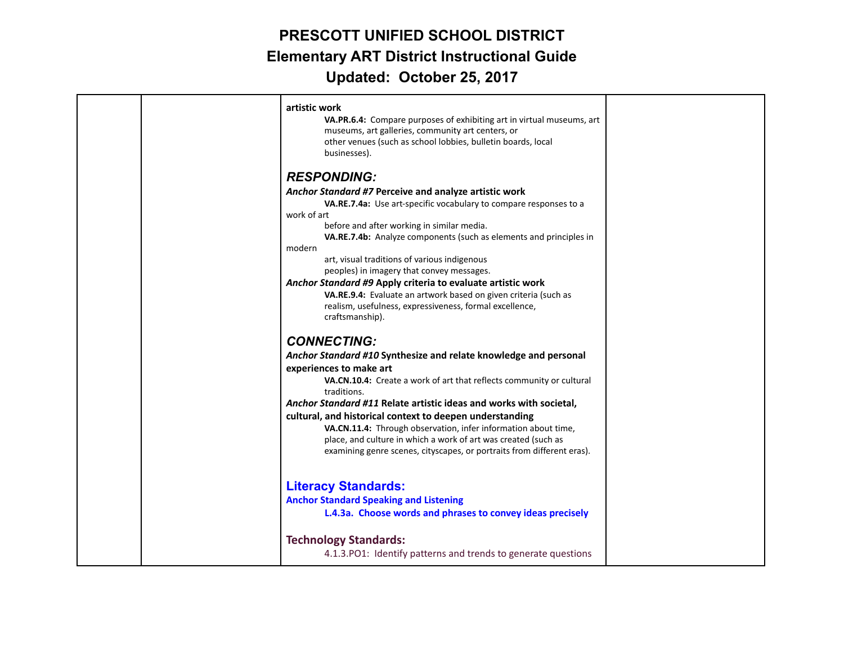|  | artistic work<br>VA.PR.6.4: Compare purposes of exhibiting art in virtual museums, art<br>museums, art galleries, community art centers, or<br>other venues (such as school lobbies, bulletin boards, local<br>businesses). |  |
|--|-----------------------------------------------------------------------------------------------------------------------------------------------------------------------------------------------------------------------------|--|
|  | <b>RESPONDING:</b>                                                                                                                                                                                                          |  |
|  | Anchor Standard #7 Perceive and analyze artistic work                                                                                                                                                                       |  |
|  | VA.RE.7.4a: Use art-specific vocabulary to compare responses to a                                                                                                                                                           |  |
|  | work of art                                                                                                                                                                                                                 |  |
|  | before and after working in similar media.                                                                                                                                                                                  |  |
|  | VA.RE.7.4b: Analyze components (such as elements and principles in                                                                                                                                                          |  |
|  | modern                                                                                                                                                                                                                      |  |
|  | art, visual traditions of various indigenous                                                                                                                                                                                |  |
|  | peoples) in imagery that convey messages.                                                                                                                                                                                   |  |
|  | Anchor Standard #9 Apply criteria to evaluate artistic work<br>VA.RE.9.4: Evaluate an artwork based on given criteria (such as                                                                                              |  |
|  | realism, usefulness, expressiveness, formal excellence,                                                                                                                                                                     |  |
|  | craftsmanship).                                                                                                                                                                                                             |  |
|  |                                                                                                                                                                                                                             |  |
|  | <b>CONNECTING:</b>                                                                                                                                                                                                          |  |
|  | Anchor Standard #10 Synthesize and relate knowledge and personal                                                                                                                                                            |  |
|  | experiences to make art                                                                                                                                                                                                     |  |
|  | VA.CN.10.4: Create a work of art that reflects community or cultural<br>traditions.                                                                                                                                         |  |
|  | Anchor Standard #11 Relate artistic ideas and works with societal,                                                                                                                                                          |  |
|  | cultural, and historical context to deepen understanding                                                                                                                                                                    |  |
|  | VA.CN.11.4: Through observation, infer information about time,                                                                                                                                                              |  |
|  | place, and culture in which a work of art was created (such as                                                                                                                                                              |  |
|  | examining genre scenes, cityscapes, or portraits from different eras).                                                                                                                                                      |  |
|  | <b>Literacy Standards:</b>                                                                                                                                                                                                  |  |
|  | <b>Anchor Standard Speaking and Listening</b>                                                                                                                                                                               |  |
|  | L.4.3a. Choose words and phrases to convey ideas precisely                                                                                                                                                                  |  |
|  | <b>Technology Standards:</b>                                                                                                                                                                                                |  |
|  | 4.1.3. PO1: Identify patterns and trends to generate questions                                                                                                                                                              |  |
|  |                                                                                                                                                                                                                             |  |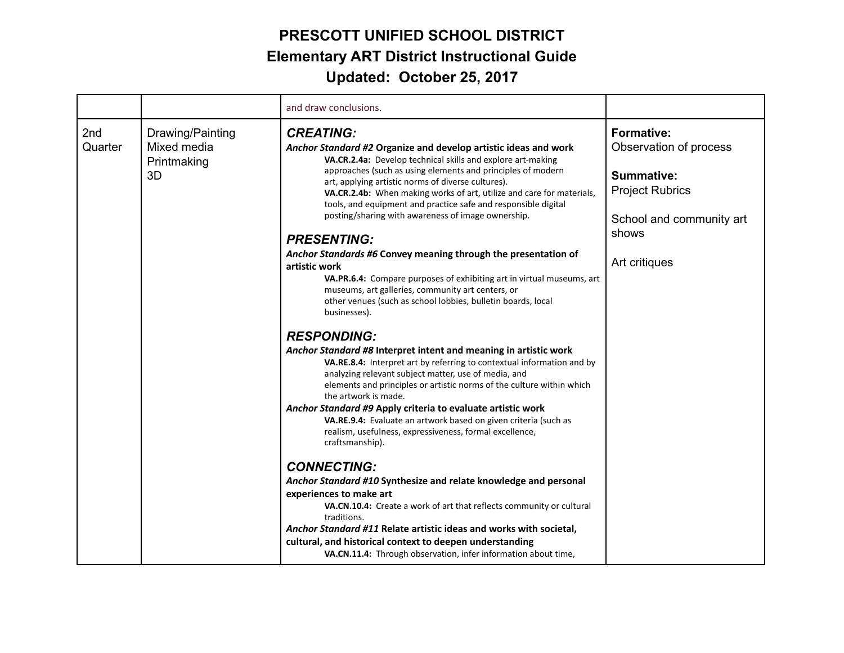|                |                                                      | and draw conclusions.                                                                                                                                                                                                                                                                                                                                                                                                                                                                                                                                                                                                                                                                                                                                                                                                                                                                                                                                                                                                                                                                                                                                                                                                                                                                                                                        |                                                                                                                                                  |
|----------------|------------------------------------------------------|----------------------------------------------------------------------------------------------------------------------------------------------------------------------------------------------------------------------------------------------------------------------------------------------------------------------------------------------------------------------------------------------------------------------------------------------------------------------------------------------------------------------------------------------------------------------------------------------------------------------------------------------------------------------------------------------------------------------------------------------------------------------------------------------------------------------------------------------------------------------------------------------------------------------------------------------------------------------------------------------------------------------------------------------------------------------------------------------------------------------------------------------------------------------------------------------------------------------------------------------------------------------------------------------------------------------------------------------|--------------------------------------------------------------------------------------------------------------------------------------------------|
| 2nd<br>Quarter | Drawing/Painting<br>Mixed media<br>Printmaking<br>3D | <b>CREATING:</b><br>Anchor Standard #2 Organize and develop artistic ideas and work<br>VA.CR.2.4a: Develop technical skills and explore art-making<br>approaches (such as using elements and principles of modern<br>art, applying artistic norms of diverse cultures).<br>VA.CR.2.4b: When making works of art, utilize and care for materials,<br>tools, and equipment and practice safe and responsible digital<br>posting/sharing with awareness of image ownership.<br><b>PRESENTING:</b><br>Anchor Standards #6 Convey meaning through the presentation of<br>artistic work<br>VA.PR.6.4: Compare purposes of exhibiting art in virtual museums, art<br>museums, art galleries, community art centers, or<br>other venues (such as school lobbies, bulletin boards, local<br>businesses).<br><b>RESPONDING:</b><br>Anchor Standard #8 Interpret intent and meaning in artistic work<br>VA.RE.8.4: Interpret art by referring to contextual information and by<br>analyzing relevant subject matter, use of media, and<br>elements and principles or artistic norms of the culture within which<br>the artwork is made.<br>Anchor Standard #9 Apply criteria to evaluate artistic work<br>VA.RE.9.4: Evaluate an artwork based on given criteria (such as<br>realism, usefulness, expressiveness, formal excellence,<br>craftsmanship). | <b>Formative:</b><br>Observation of process<br><b>Summative:</b><br><b>Project Rubrics</b><br>School and community art<br>shows<br>Art critiques |
|                |                                                      |                                                                                                                                                                                                                                                                                                                                                                                                                                                                                                                                                                                                                                                                                                                                                                                                                                                                                                                                                                                                                                                                                                                                                                                                                                                                                                                                              |                                                                                                                                                  |
|                |                                                      | <b>CONNECTING:</b><br>Anchor Standard #10 Synthesize and relate knowledge and personal<br>experiences to make art<br>VA.CN.10.4: Create a work of art that reflects community or cultural<br>traditions.<br>Anchor Standard #11 Relate artistic ideas and works with societal,<br>cultural, and historical context to deepen understanding<br>VA.CN.11.4: Through observation, infer information about time,                                                                                                                                                                                                                                                                                                                                                                                                                                                                                                                                                                                                                                                                                                                                                                                                                                                                                                                                 |                                                                                                                                                  |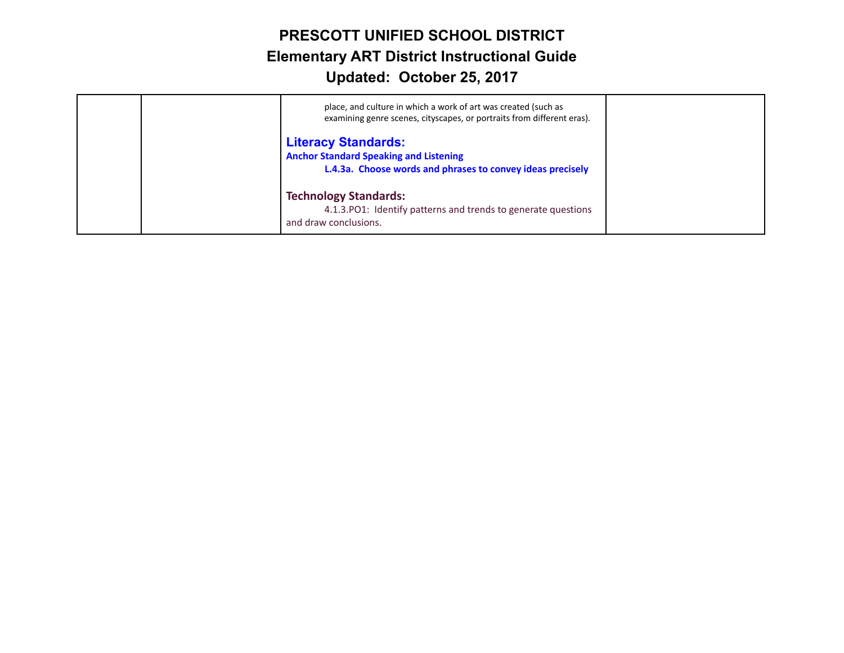| place, and culture in which a work of art was created (such as<br>examining genre scenes, cityscapes, or portraits from different eras).  |  |
|-------------------------------------------------------------------------------------------------------------------------------------------|--|
| <b>Literacy Standards:</b><br><b>Anchor Standard Speaking and Listening</b><br>L.4.3a. Choose words and phrases to convey ideas precisely |  |
| <b>Technology Standards:</b><br>4.1.3. PO1: Identify patterns and trends to generate questions<br>and draw conclusions.                   |  |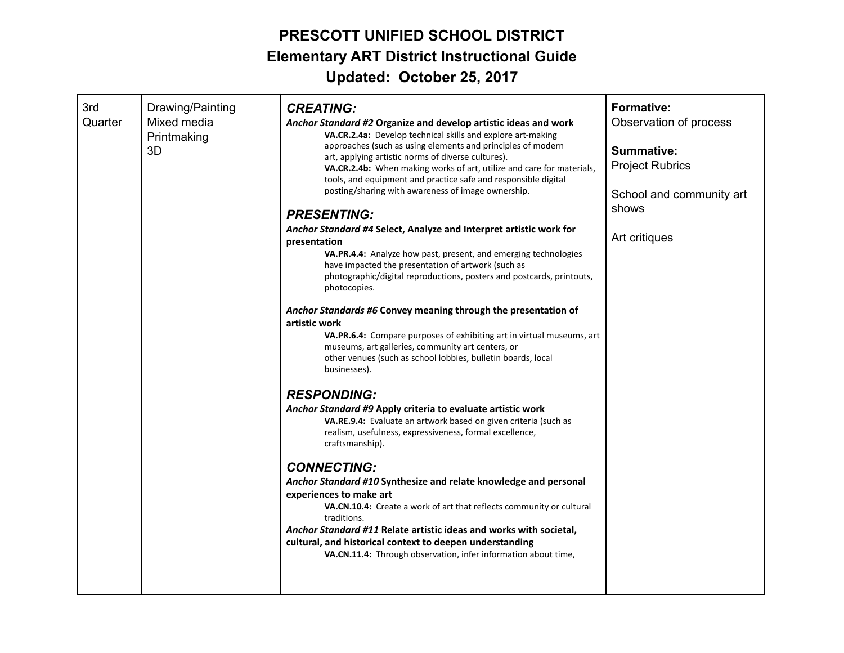| 3rd<br>Quarter | Drawing/Painting<br>Mixed media<br>Printmaking<br>3D | <b>CREATING:</b><br>Anchor Standard #2 Organize and develop artistic ideas and work<br>VA.CR.2.4a: Develop technical skills and explore art-making<br>approaches (such as using elements and principles of modern<br>art, applying artistic norms of diverse cultures).<br>VA.CR.2.4b: When making works of art, utilize and care for materials,<br>tools, and equipment and practice safe and responsible digital<br>posting/sharing with awareness of image ownership.<br><b>PRESENTING:</b><br>Anchor Standard #4 Select, Analyze and Interpret artistic work for<br>presentation<br>VA.PR.4.4: Analyze how past, present, and emerging technologies<br>have impacted the presentation of artwork (such as<br>photographic/digital reproductions, posters and postcards, printouts,<br>photocopies.<br>Anchor Standards #6 Convey meaning through the presentation of<br>artistic work<br>VA.PR.6.4: Compare purposes of exhibiting art in virtual museums, art<br>museums, art galleries, community art centers, or<br>other venues (such as school lobbies, bulletin boards, local<br>businesses).<br><b>RESPONDING:</b><br>Anchor Standard #9 Apply criteria to evaluate artistic work<br>VA.RE.9.4: Evaluate an artwork based on given criteria (such as<br>realism, usefulness, expressiveness, formal excellence,<br>craftsmanship).<br><b>CONNECTING:</b><br>Anchor Standard #10 Synthesize and relate knowledge and personal<br>experiences to make art<br>VA.CN.10.4: Create a work of art that reflects community or cultural<br>traditions.<br>Anchor Standard #11 Relate artistic ideas and works with societal,<br>cultural, and historical context to deepen understanding<br>VA.CN.11.4: Through observation, infer information about time, | <b>Formative:</b><br>Observation of process<br><b>Summative:</b><br><b>Project Rubrics</b><br>School and community art<br>shows<br>Art critiques |
|----------------|------------------------------------------------------|---------------------------------------------------------------------------------------------------------------------------------------------------------------------------------------------------------------------------------------------------------------------------------------------------------------------------------------------------------------------------------------------------------------------------------------------------------------------------------------------------------------------------------------------------------------------------------------------------------------------------------------------------------------------------------------------------------------------------------------------------------------------------------------------------------------------------------------------------------------------------------------------------------------------------------------------------------------------------------------------------------------------------------------------------------------------------------------------------------------------------------------------------------------------------------------------------------------------------------------------------------------------------------------------------------------------------------------------------------------------------------------------------------------------------------------------------------------------------------------------------------------------------------------------------------------------------------------------------------------------------------------------------------------------------------------------------------------------------------------------------------------|--------------------------------------------------------------------------------------------------------------------------------------------------|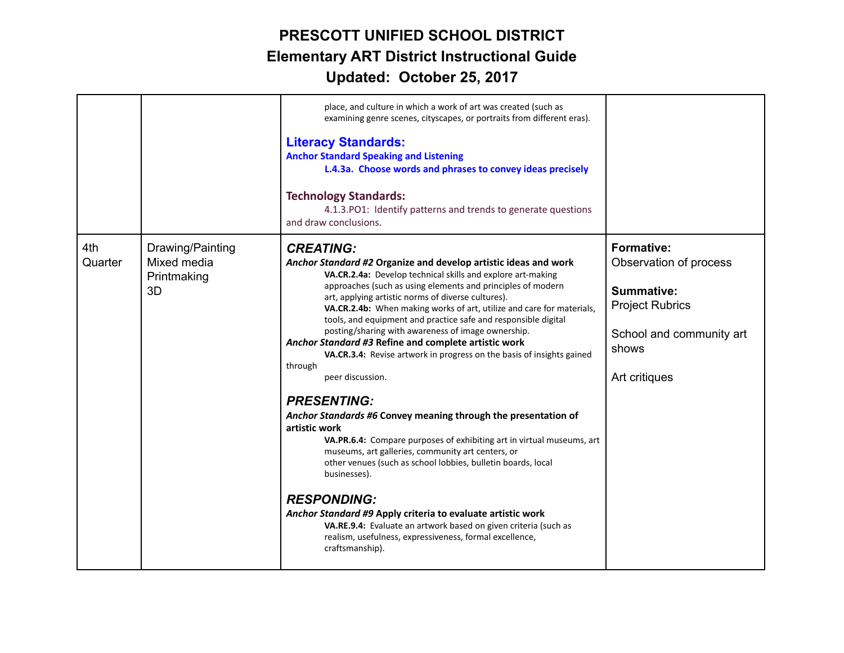|                |                                                      | place, and culture in which a work of art was created (such as<br>examining genre scenes, cityscapes, or portraits from different eras).<br><b>Literacy Standards:</b><br><b>Anchor Standard Speaking and Listening</b><br>L.4.3a. Choose words and phrases to convey ideas precisely<br><b>Technology Standards:</b><br>4.1.3. PO1: Identify patterns and trends to generate questions<br>and draw conclusions.                                                                                                                                                                                                                                                                                                                                                                                                                                                                                                                                                                                                                                                                                                                                                                                      |                                                                                                                                                  |
|----------------|------------------------------------------------------|-------------------------------------------------------------------------------------------------------------------------------------------------------------------------------------------------------------------------------------------------------------------------------------------------------------------------------------------------------------------------------------------------------------------------------------------------------------------------------------------------------------------------------------------------------------------------------------------------------------------------------------------------------------------------------------------------------------------------------------------------------------------------------------------------------------------------------------------------------------------------------------------------------------------------------------------------------------------------------------------------------------------------------------------------------------------------------------------------------------------------------------------------------------------------------------------------------|--------------------------------------------------------------------------------------------------------------------------------------------------|
| 4th<br>Quarter | Drawing/Painting<br>Mixed media<br>Printmaking<br>3D | <b>CREATING:</b><br>Anchor Standard #2 Organize and develop artistic ideas and work<br>VA.CR.2.4a: Develop technical skills and explore art-making<br>approaches (such as using elements and principles of modern<br>art, applying artistic norms of diverse cultures).<br>VA.CR.2.4b: When making works of art, utilize and care for materials,<br>tools, and equipment and practice safe and responsible digital<br>posting/sharing with awareness of image ownership.<br>Anchor Standard #3 Refine and complete artistic work<br>VA.CR.3.4: Revise artwork in progress on the basis of insights gained<br>through<br>peer discussion.<br><b>PRESENTING:</b><br>Anchor Standards #6 Convey meaning through the presentation of<br>artistic work<br>VA.PR.6.4: Compare purposes of exhibiting art in virtual museums, art<br>museums, art galleries, community art centers, or<br>other venues (such as school lobbies, bulletin boards, local<br>businesses).<br><b>RESPONDING:</b><br>Anchor Standard #9 Apply criteria to evaluate artistic work<br>VA.RE.9.4: Evaluate an artwork based on given criteria (such as<br>realism, usefulness, expressiveness, formal excellence,<br>craftsmanship). | <b>Formative:</b><br>Observation of process<br><b>Summative:</b><br><b>Project Rubrics</b><br>School and community art<br>shows<br>Art critiques |